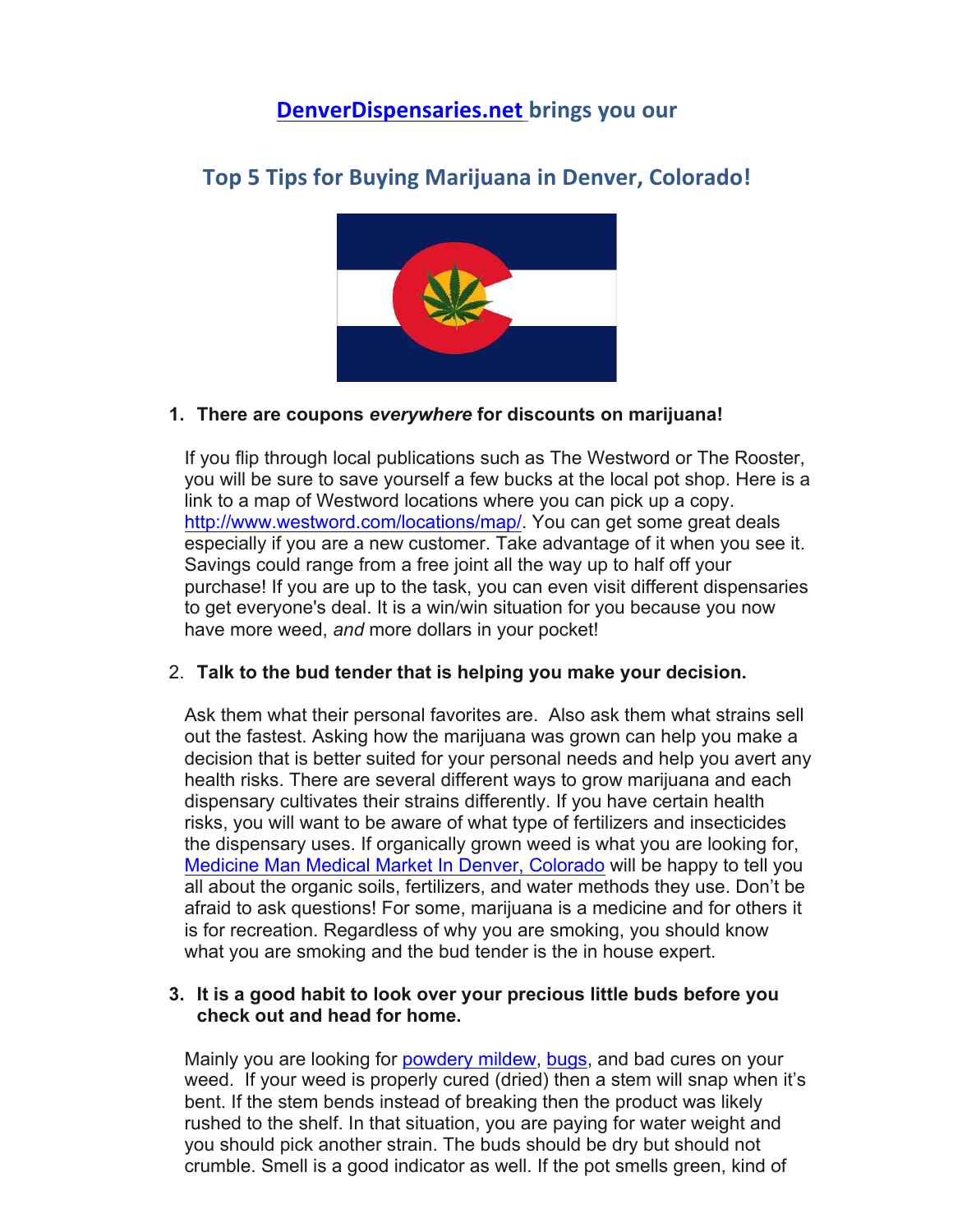# **DenverDispensaries.net brings you our**

**Top 5 Tips for Buying Marijuana in Denver, Colorado!** 



# **1. There are coupons** *everywhere* **for discounts on marijuana!**

If you flip through local publications such as The Westword or The Rooster, you will be sure to save yourself a few bucks at the local pot shop. Here is a link to a map of Westword locations where you can pick up a copy. http://www.westword.com/locations/map/. You can get some great deals especially if you are a new customer. Take advantage of it when you see it. Savings could range from a free joint all the way up to half off your purchase! If you are up to the task, you can even visit different dispensaries to get everyone's deal. It is a win/win situation for you because you now have more weed, *and* more dollars in your pocket!

## 2. **Talk to the bud tender that is helping you make your decision.**

Ask them what their personal favorites are. Also ask them what strains sell out the fastest. Asking how the marijuana was grown can help you make a decision that is better suited for your personal needs and help you avert any health risks. There are several different ways to grow marijuana and each dispensary cultivates their strains differently. If you have certain health risks, you will want to be aware of what type of fertilizers and insecticides the dispensary uses. If organically grown weed is what you are looking for, Medicine Man Medical Market In Denver, Colorado will be happy to tell you all about the organic soils, fertilizers, and water methods they use. Don't be afraid to ask questions! For some, marijuana is a medicine and for others it is for recreation. Regardless of why you are smoking, you should know what you are smoking and the bud tender is the in house expert.

#### **3. It is a good habit to look over your precious little buds before you check out and head for home.**

Mainly you are looking for powdery mildew, bugs, and bad cures on your weed. If your weed is properly cured (dried) then a stem will snap when it's bent. If the stem bends instead of breaking then the product was likely rushed to the shelf. In that situation, you are paying for water weight and you should pick another strain. The buds should be dry but should not crumble. Smell is a good indicator as well. If the pot smells green, kind of